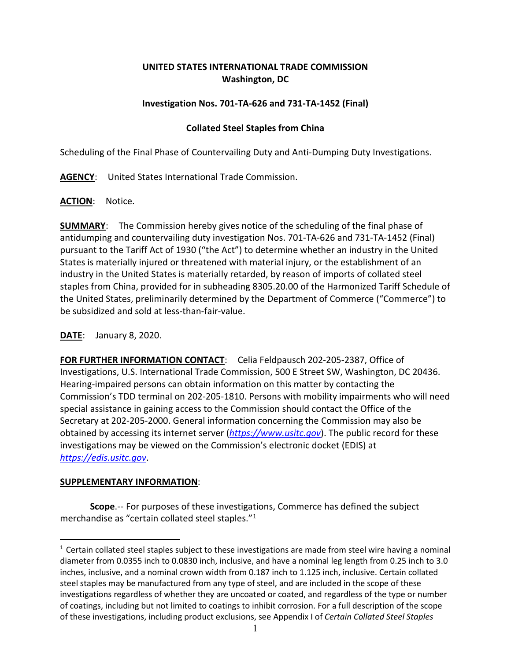# **UNITED STATES INTERNATIONAL TRADE COMMISSION Washington, DC**

## **Investigation Nos. 701-TA-626 and 731-TA-1452 (Final)**

## **Collated Steel Staples from China**

Scheduling of the Final Phase of Countervailing Duty and Anti-Dumping Duty Investigations.

**AGENCY**: United States International Trade Commission.

**ACTION**: Notice.

**SUMMARY**: The Commission hereby gives notice of the scheduling of the final phase of antidumping and countervailing duty investigation Nos. 701-TA-626 and 731-TA-1452 (Final) pursuant to the Tariff Act of 1930 ("the Act") to determine whether an industry in the United States is materially injured or threatened with material injury, or the establishment of an industry in the United States is materially retarded, by reason of imports of collated steel staples from China, provided for in subheading 8305.20.00 of the Harmonized Tariff Schedule of the United States, preliminarily determined by the Department of Commerce ("Commerce") to be subsidized and sold at less-than-fair-value.

#### **DATE**: January 8, 2020.

**FOR FURTHER INFORMATION CONTACT**: Celia Feldpausch 202-205-2387, Office of Investigations, U.S. International Trade Commission, 500 E Street SW, Washington, DC 20436. Hearing-impaired persons can obtain information on this matter by contacting the Commission's TDD terminal on 202-205-1810. Persons with mobility impairments who will need special assistance in gaining access to the Commission should contact the Office of the Secretary at 202-205-2000. General information concerning the Commission may also be obtained by accessing its internet server (*[https://www.usitc.gov](https://www.usitc.gov/)*). The public record for these investigations may be viewed on the Commission's electronic docket (EDIS) at *[https://edis.usitc.gov](https://edis.usitc.gov/)*.

#### **SUPPLEMENTARY INFORMATION**:

**Scope**.-- For purposes of these investigations, Commerce has defined the subject merchandise as "certain collated steel staples."[1](#page-0-0)

<span id="page-0-0"></span> $1$  Certain collated steel staples subject to these investigations are made from steel wire having a nominal diameter from 0.0355 inch to 0.0830 inch, inclusive, and have a nominal leg length from 0.25 inch to 3.0 inches, inclusive, and a nominal crown width from 0.187 inch to 1.125 inch, inclusive. Certain collated steel staples may be manufactured from any type of steel, and are included in the scope of these investigations regardless of whether they are uncoated or coated, and regardless of the type or number of coatings, including but not limited to coatings to inhibit corrosion. For a full description of the scope of these investigations, including product exclusions, see Appendix I of *Certain Collated Steel Staples*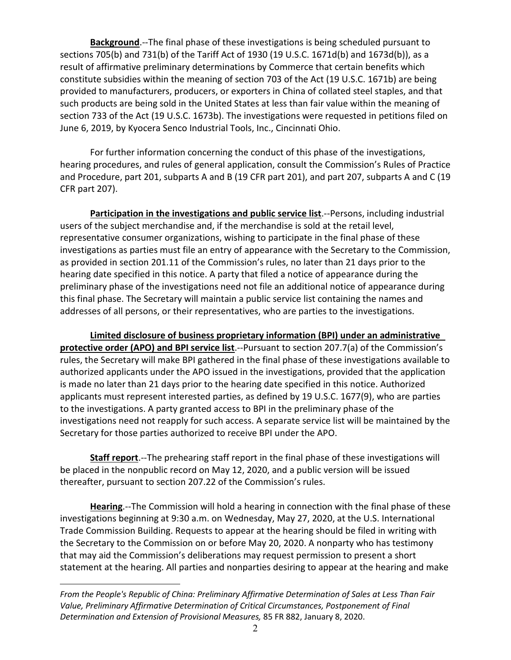**Background**.--The final phase of these investigations is being scheduled pursuant to sections 705(b) and 731(b) of the Tariff Act of 1930 (19 U.S.C. 1671d(b) and 1673d(b)), as a result of affirmative preliminary determinations by Commerce that certain benefits which constitute subsidies within the meaning of section 703 of the Act (19 U.S.C. 1671b) are being provided to manufacturers, producers, or exporters in China of collated steel staples, and that such products are being sold in the United States at less than fair value within the meaning of section 733 of the Act (19 U.S.C. 1673b). The investigations were requested in petitions filed on June 6, 2019, by Kyocera Senco Industrial Tools, Inc., Cincinnati Ohio.

For further information concerning the conduct of this phase of the investigations, hearing procedures, and rules of general application, consult the Commission's Rules of Practice and Procedure, part 201, subparts A and B (19 CFR part 201), and part 207, subparts A and C (19 CFR part 207).

**Participation in the investigations and public service list.**--Persons, including industrial users of the subject merchandise and, if the merchandise is sold at the retail level, representative consumer organizations, wishing to participate in the final phase of these investigations as parties must file an entry of appearance with the Secretary to the Commission, as provided in section 201.11 of the Commission's rules, no later than 21 days prior to the hearing date specified in this notice. A party that filed a notice of appearance during the preliminary phase of the investigations need not file an additional notice of appearance during this final phase. The Secretary will maintain a public service list containing the names and addresses of all persons, or their representatives, who are parties to the investigations.

**Limited disclosure of business proprietary information (BPI) under an administrative protective order (APO) and BPI service list**.--Pursuant to section 207.7(a) of the Commission's rules, the Secretary will make BPI gathered in the final phase of these investigations available to authorized applicants under the APO issued in the investigations, provided that the application is made no later than 21 days prior to the hearing date specified in this notice. Authorized applicants must represent interested parties, as defined by 19 U.S.C. 1677(9), who are parties to the investigations. A party granted access to BPI in the preliminary phase of the investigations need not reapply for such access. A separate service list will be maintained by the Secretary for those parties authorized to receive BPI under the APO.

**Staff report**.--The prehearing staff report in the final phase of these investigations will be placed in the nonpublic record on May 12, 2020, and a public version will be issued thereafter, pursuant to section 207.22 of the Commission's rules.

**Hearing**.--The Commission will hold a hearing in connection with the final phase of these investigations beginning at 9:30 a.m. on Wednesday, May 27, 2020, at the U.S. International Trade Commission Building. Requests to appear at the hearing should be filed in writing with the Secretary to the Commission on or before May 20, 2020. A nonparty who has testimony that may aid the Commission's deliberations may request permission to present a short statement at the hearing. All parties and nonparties desiring to appear at the hearing and make

*From the People's Republic of China: Preliminary Affirmative Determination of Sales at Less Than Fair Value, Preliminary Affirmative Determination of Critical Circumstances, Postponement of Final Determination and Extension of Provisional Measures,* 85 FR 882, January 8, 2020.